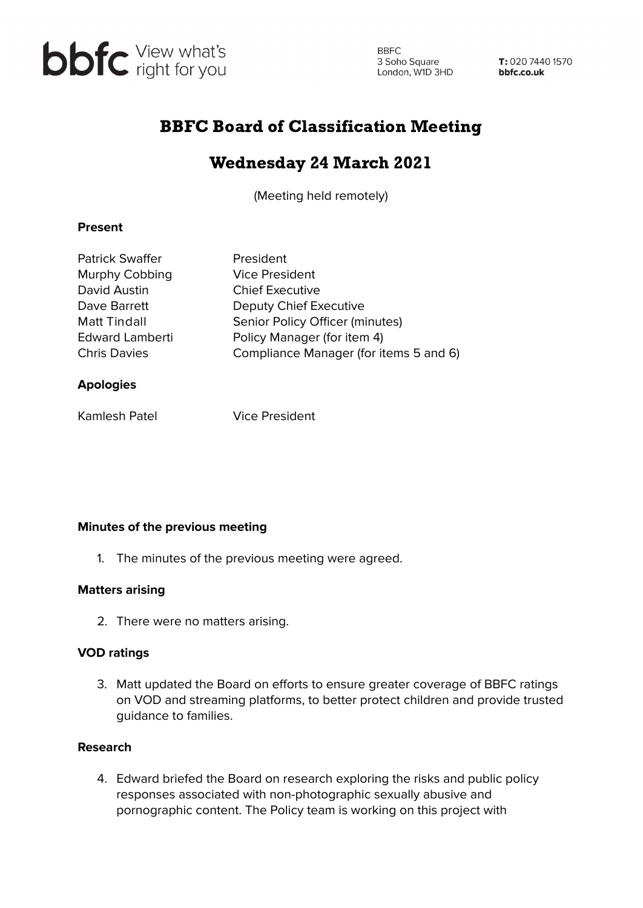

**BBFC** 3 Soho Square 3 Soho Square<br>
London, W1D 3HD **bbfc.co.uk** 

T: 020 7440 1570

# BBFC Board of Classification Meeting

# Wednesday 24 March 2021

(Meeting held remotely)

### **Present**

| <b>Patrick Swaffer</b> | President                              |
|------------------------|----------------------------------------|
| Murphy Cobbing         | <b>Vice President</b>                  |
| David Austin           | <b>Chief Executive</b>                 |
| Dave Barrett           | Deputy Chief Executive                 |
| <b>Matt Tindall</b>    | Senior Policy Officer (minutes)        |
| <b>Edward Lamberti</b> | Policy Manager (for item 4)            |
| <b>Chris Davies</b>    | Compliance Manager (for items 5 and 6) |
| <b>Apologies</b>       |                                        |

Kamlesh Patel Vice President

## **Minutes of the previous meeting**

1. The minutes of the previous meeting were agreed.

## **Matters arising**

2. There were no matters arising.

## **VOD ratings**

3. Matt updated the Board on efforts to ensure greater coverage of BBFC ratings on VOD and streaming platforms, to better protect children and provide trusted guidance to families.

#### **Research**

4. Edward briefed the Board on research exploring the risks and public policy responses associated with non-photographic sexually abusive and pornographic content. The Policy team is working on this project with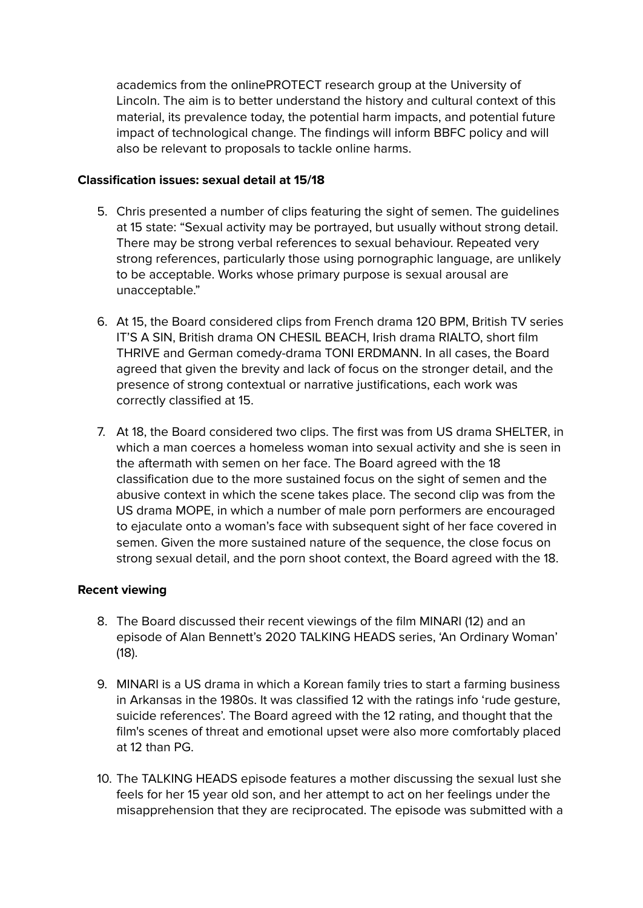academics from the onlinePROTECT research group at the University of Lincoln. The aim is to better understand the history and cultural context of this material, its prevalence today, the potential harm impacts, and potential future impact of technological change. The findings will inform BBFC policy and will also be relevant to proposals to tackle online harms.

#### **Classification issues: sexual detail at 15/18**

- 5. Chris presented a number of clips featuring the sight of semen. The guidelines at 15 state: "Sexual activity may be portrayed, but usually without strong detail. There may be strong verbal references to sexual behaviour. Repeated very strong references, particularly those using pornographic language, are unlikely to be acceptable. Works whose primary purpose is sexual arousal are unacceptable."
- 6. At 15, the Board considered clips from French drama 120 BPM, British TV series IT'S A SIN, British drama ON CHESIL BEACH, Irish drama RIALTO, short film THRIVE and German comedy-drama TONI ERDMANN. In all cases, the Board agreed that given the brevity and lack of focus on the stronger detail, and the presence of strong contextual or narrative justifications, each work was correctly classified at 15.
- 7. At 18, the Board considered two clips. The first was from US drama SHELTER, in which a man coerces a homeless woman into sexual activity and she is seen in the aftermath with semen on her face. The Board agreed with the 18 classification due to the more sustained focus on the sight of semen and the abusive context in which the scene takes place. The second clip was from the US drama MOPE, in which a number of male porn performers are encouraged to ejaculate onto a woman's face with subsequent sight of her face covered in semen. Given the more sustained nature of the sequence, the close focus on strong sexual detail, and the porn shoot context, the Board agreed with the 18.

## **Recent viewing**

- 8. The Board discussed their recent viewings of the film MINARI (12) and an episode of Alan Bennett's 2020 TALKING HEADS series, 'An Ordinary Woman' (18).
- 9. MINARI is a US drama in which a Korean family tries to start a farming business in Arkansas in the 1980s. It was classified 12 with the ratings info 'rude gesture, suicide references'. The Board agreed with the 12 rating, and thought that the film's scenes of threat and emotional upset were also more comfortably placed at 12 than PG.
- 10. The TALKING HEADS episode features a mother discussing the sexual lust she feels for her 15 year old son, and her attempt to act on her feelings under the misapprehension that they are reciprocated. The episode was submitted with a